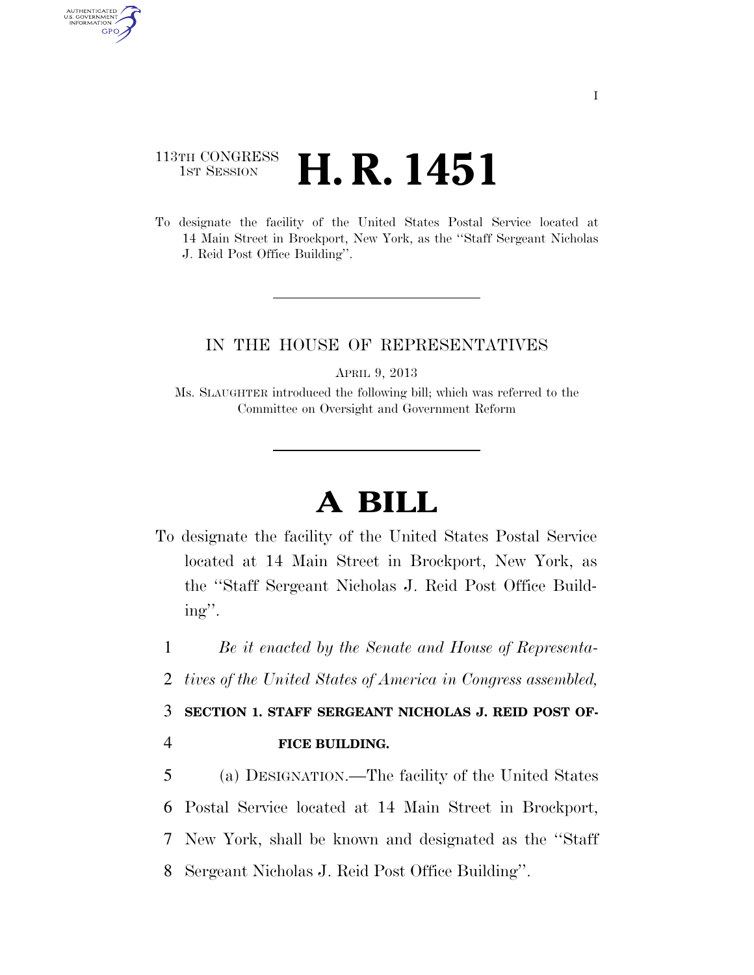## 113TH CONGRESS <sup>TH CONGRESS</sup> **H. R. 1451**

AUTHENTICATED<br>U.S. GOVERNMENT<br>INFORMATION **GPO** 

> To designate the facility of the United States Postal Service located at 14 Main Street in Brockport, New York, as the ''Staff Sergeant Nicholas J. Reid Post Office Building''.

## IN THE HOUSE OF REPRESENTATIVES

APRIL 9, 2013

Ms. SLAUGHTER introduced the following bill; which was referred to the Committee on Oversight and Government Reform

## **A BILL**

To designate the facility of the United States Postal Service located at 14 Main Street in Brockport, New York, as the ''Staff Sergeant Nicholas J. Reid Post Office Building''.

1 *Be it enacted by the Senate and House of Representa-*

2 *tives of the United States of America in Congress assembled,* 

3 **SECTION 1. STAFF SERGEANT NICHOLAS J. REID POST OF-**4 **FICE BUILDING.** 

 (a) DESIGNATION.—The facility of the United States Postal Service located at 14 Main Street in Brockport, New York, shall be known and designated as the ''Staff Sergeant Nicholas J. Reid Post Office Building''.